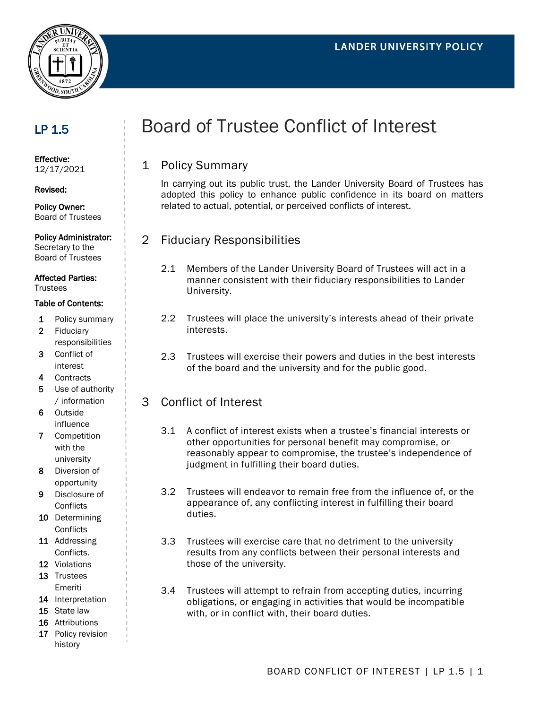

## LP 1.5

Effective: 12/17/2021

#### Revised:

Policy Owner: Board of Trustees

#### Policy Administrator:

Secretary to the Board of Trustees

#### Affected Parties:

**Trustees** 

#### Table of Contents:

- 1 Policy summary
- 2 Fiduciary responsibilities
- 3 Conflict of interest
- 4 Contracts
- 5 Use of authority / information
- 6 Outside influence
- 7 Competition with the university
- 8 Diversion of opportunity
- 9 Disclosure of **Conflicts**
- 10 Determining **Conflicts**
- 11 Addressing Conflicts.
- 12 Violations
- 13 Trustees Emeriti
- 14 Interpretation
- 15 State law
- 16 Attributions
- 17 Policy revision history

# Board of Trustee Conflict of Interest

## 1 Policy Summary

In carrying out its public trust, the Lander University Board of Trustees has adopted this policy to enhance public confidence in its board on matters related to actual, potential, or perceived conflicts of interest.

## 2 Fiduciary Responsibilities

- 2.1 Members of the Lander University Board of Trustees will act in a manner consistent with their fiduciary responsibilities to Lander University.
- 2.2 Trustees will place the university's interests ahead of their private interests.
- 2.3 Trustees will exercise their powers and duties in the best interests of the board and the university and for the public good.

### 3 Conflict of Interest

- 3.1 A conflict of interest exists when a trustee's financial interests or other opportunities for personal benefit may compromise, or reasonably appear to compromise, the trustee's independence of judgment in fulfilling their board duties.
- 3.2 Trustees will endeavor to remain free from the influence of, or the appearance of, any conflicting interest in fulfilling their board duties.
- 3.3 Trustees will exercise care that no detriment to the university results from any conflicts between their personal interests and those of the university.
- 3.4 Trustees will attempt to refrain from accepting duties, incurring obligations, or engaging in activities that would be incompatible with, or in conflict with, their board duties.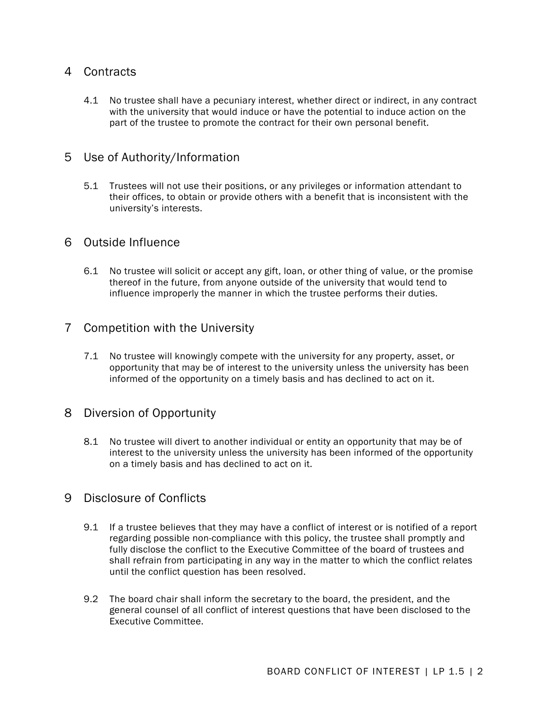### 4 Contracts

4.1 No trustee shall have a pecuniary interest, whether direct or indirect, in any contract with the university that would induce or have the potential to induce action on the part of the trustee to promote the contract for their own personal benefit.

#### 5 Use of Authority/Information

5.1 Trustees will not use their positions, or any privileges or information attendant to their offices, to obtain or provide others with a benefit that is inconsistent with the university's interests.

#### 6 Outside Influence

6.1 No trustee will solicit or accept any gift, loan, or other thing of value, or the promise thereof in the future, from anyone outside of the university that would tend to influence improperly the manner in which the trustee performs their duties.

#### 7 Competition with the University

7.1 No trustee will knowingly compete with the university for any property, asset, or opportunity that may be of interest to the university unless the university has been informed of the opportunity on a timely basis and has declined to act on it.

#### 8 Diversion of Opportunity

8.1 No trustee will divert to another individual or entity an opportunity that may be of interest to the university unless the university has been informed of the opportunity on a timely basis and has declined to act on it.

#### 9 Disclosure of Conflicts

- 9.1 If a trustee believes that they may have a conflict of interest or is notified of a report regarding possible non-compliance with this policy, the trustee shall promptly and fully disclose the conflict to the Executive Committee of the board of trustees and shall refrain from participating in any way in the matter to which the conflict relates until the conflict question has been resolved.
- 9.2 The board chair shall inform the secretary to the board, the president, and the general counsel of all conflict of interest questions that have been disclosed to the Executive Committee.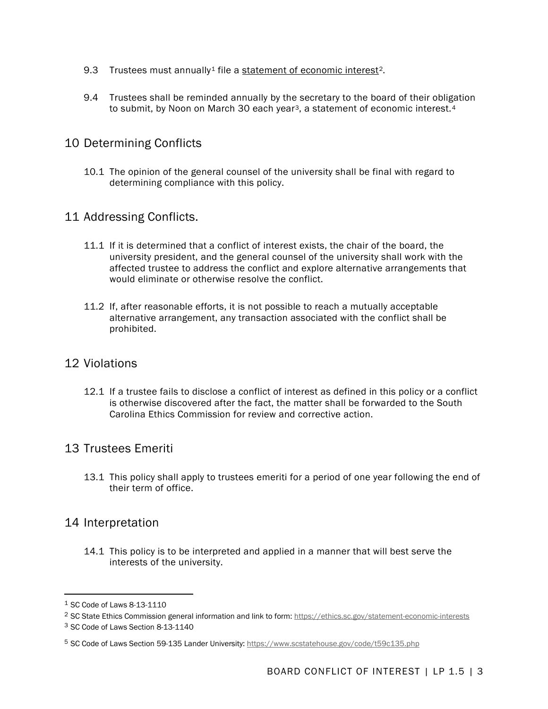- 9.3 Trustees must annually<sup>[1](#page-2-0)</sup> file a [statement of economic interest](https://ethics.sc.gov/statement-economic-interests)<sup>2</sup>.
- 9.4 Trustees shall be reminded annually by the secretary to the board of their obligation to submit, by Noon on March [3](#page-2-2)0 each year<sup>3</sup>, a statement of economic interest.<sup>[4](#page-2-3)</sup>

## 10 Determining Conflicts

10.1 The opinion of the general counsel of the university shall be final with regard to determining compliance with this policy.

#### 11 Addressing Conflicts.

- 11.1 If it is determined that a conflict of interest exists, the chair of the board, the university president, and the general counsel of the university shall work with the affected trustee to address the conflict and explore alternative arrangements that would eliminate or otherwise resolve the conflict.
- 11.2 If, after reasonable efforts, it is not possible to reach a mutually acceptable alternative arrangement, any transaction associated with the conflict shall be prohibited.

#### 12 Violations

12.1 If a trustee fails to disclose a conflict of interest as defined in this policy or a conflict is otherwise discovered after the fact, the matter shall be forwarded to the South Carolina Ethics Commission for review and corrective action.

### 13 Trustees Emeriti

13.1 This policy shall apply to trustees emeriti for a period of one year following the end of their term of office.

### 14 Interpretation

14.1 This policy is to be interpreted and applied in a manner that will best serve the interests of the university.

<span id="page-2-0"></span><sup>1</sup> SC Code of Laws 8-13-1110

<span id="page-2-1"></span><sup>&</sup>lt;sup>2</sup> SC State Ethics Commission general information and link to form:<https://ethics.sc.gov/statement-economic-interests> <sup>3</sup> SC Code of Laws Section 8-13-1140

<span id="page-2-3"></span><span id="page-2-2"></span><sup>5</sup> SC Code of Laws Section 59-135 Lander University:<https://www.scstatehouse.gov/code/t59c135.php>